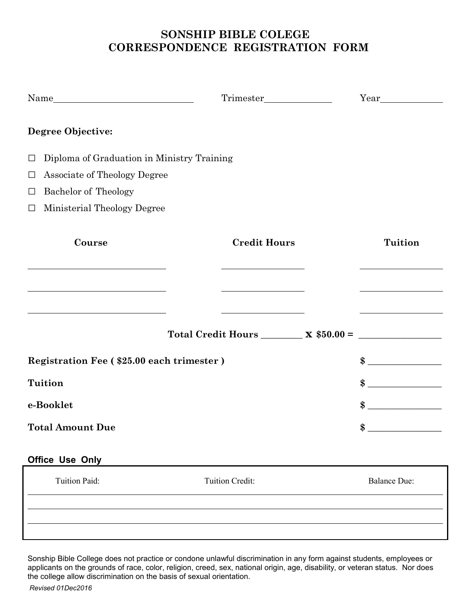#### **SONSHIP BIBLE COLEGE CORRESPONDENCE REGISTRATION FORM**

| Name                                                               |                                                                                                    |                                                   |
|--------------------------------------------------------------------|----------------------------------------------------------------------------------------------------|---------------------------------------------------|
| <b>Degree Objective:</b>                                           |                                                                                                    |                                                   |
| Diploma of Graduation in Ministry Training<br>$\Box$               |                                                                                                    |                                                   |
| Associate of Theology Degree<br>$\Box$                             |                                                                                                    |                                                   |
| Bachelor of Theology<br>$\Box$                                     |                                                                                                    |                                                   |
| Ministerial Theology Degree<br>$\Box$                              |                                                                                                    |                                                   |
| Course                                                             | <b>Credit Hours</b>                                                                                | <b>Tuition</b>                                    |
|                                                                    |                                                                                                    |                                                   |
| <u> 1980 - Johann Barbara, martxa amerikan personal (h. 1980).</u> | <u> 1989 - Johann Barbara, martin a</u><br>Total Credit Hours $\_\_\_\_$ x $$50.00 = \_\_\_\_\_\_$ | <u> 1989 - Johann Barbara, martin amerikan ba</u> |
| Registration Fee (\$25.00 each trimester)                          | $\frac{1}{2}$                                                                                      |                                                   |
| <b>Tuition</b>                                                     |                                                                                                    | $\frac{1}{2}$                                     |
| e-Booklet                                                          |                                                                                                    | $\frac{1}{2}$                                     |
| <b>Total Amount Due</b>                                            |                                                                                                    | $\bullet$                                         |
| Office Use Only                                                    |                                                                                                    |                                                   |
| Tuition Paid:                                                      | Tuition Credit:                                                                                    | <b>Balance Due:</b>                               |
|                                                                    |                                                                                                    |                                                   |
|                                                                    |                                                                                                    |                                                   |

Sonship Bible College does not practice or condone unlawful discrimination in any form against students, employees or applicants on the grounds of race, color, religion, creed, sex, national origin, age, disability, or veteran status. Nor does the college allow discrimination on the basis of sexual orientation.

*Revised 01Dec2016*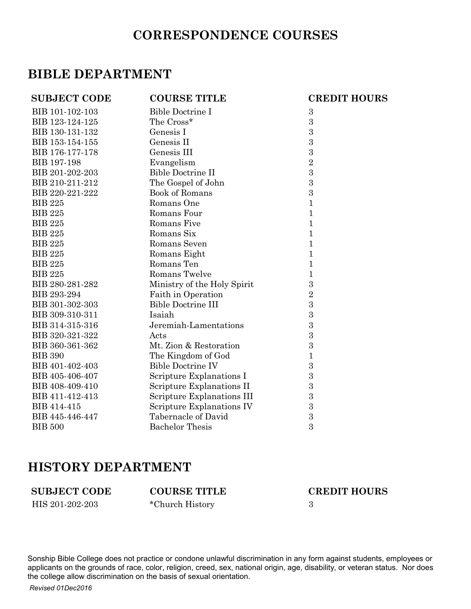## **CORRESPONDENCE COURSES**

## **BIBLE DEPARTMENT**

| <b>SUBJECT CODE</b> | <b>COURSE TITLE</b>         | <b>CREDIT HOURS</b> |
|---------------------|-----------------------------|---------------------|
| BIB 101-102-103     | Bible Doctrine I            | $\boldsymbol{3}$    |
| BIB 123-124-125     | The Cross*                  | 3                   |
| BIB 130-131-132     | Genesis I                   | 3                   |
| BIB 153-154-155     | Genesis II                  | 3                   |
| BIB 176-177-178     | Genesis III                 | 3                   |
| BIB 197-198         | Evangelism                  | $\overline{2}$      |
| BIB 201-202-203     | <b>Bible Doctrine II</b>    | $\boldsymbol{3}$    |
| BIB 210-211-212     | The Gospel of John          | $\boldsymbol{3}$    |
| BIB 220-221-222     | Book of Romans              | 3                   |
| <b>BIB 225</b>      | Romans One                  | 1                   |
| <b>BIB 225</b>      | Romans Four                 | 1                   |
| <b>BIB 225</b>      | Romans Five                 | 1                   |
| <b>BIB 225</b>      | Romans Six                  | 1                   |
| <b>BIB 225</b>      | Romans Seven                | 1                   |
| <b>BIB 225</b>      | Romans Eight                | 1                   |
| <b>BIB 225</b>      | Romans Ten                  | 1                   |
| <b>BIB 225</b>      | Romans Twelve               | 1                   |
| BIB 280-281-282     | Ministry of the Holy Spirit | 3                   |
| BIB 293-294         | Faith in Operation          | $\overline{2}$      |
| BIB 301-302-303     | <b>Bible Doctrine III</b>   | $\boldsymbol{3}$    |
| BIB 309-310-311     | Isaiah                      | $\boldsymbol{3}$    |
| BIB 314-315-316     | Jeremiah-Lamentations       | 3                   |
| BIB 320-321-322     | Acts                        | $\boldsymbol{3}$    |
| BIB 360-361-362     | Mt. Zion & Restoration      | 3                   |
| <b>BIB 390</b>      | The Kingdom of God          | 1                   |
| BIB 401-402-403     | <b>Bible Doctrine IV</b>    | $\boldsymbol{3}$    |
| BIB 405-406-407     | Scripture Explanations I    | 3                   |
| BIB 408-409-410     | Scripture Explanations II   | $\boldsymbol{3}$    |
| BIB 411-412-413     | Scripture Explanations III  | 3                   |
| BIB 414-415         | Scripture Explanations IV   | 3                   |
| BIB 445-446-447     | Tabernacle of David         | 3                   |
| <b>BIB 500</b>      | <b>Bachelor Thesis</b>      | 3                   |

#### **HISTORY DEPARTMENT**

HIS 201-202-203 \*Church History 3

**SUBJECT CODE COURSE TITLE CREDIT HOURS**

Sonship Bible College does not practice or condone unlawful discrimination in any form against students, employees or applicants on the grounds of race, color, religion, creed, sex, national origin, age, disability, or veteran status. Nor does the college allow discrimination on the basis of sexual orientation.